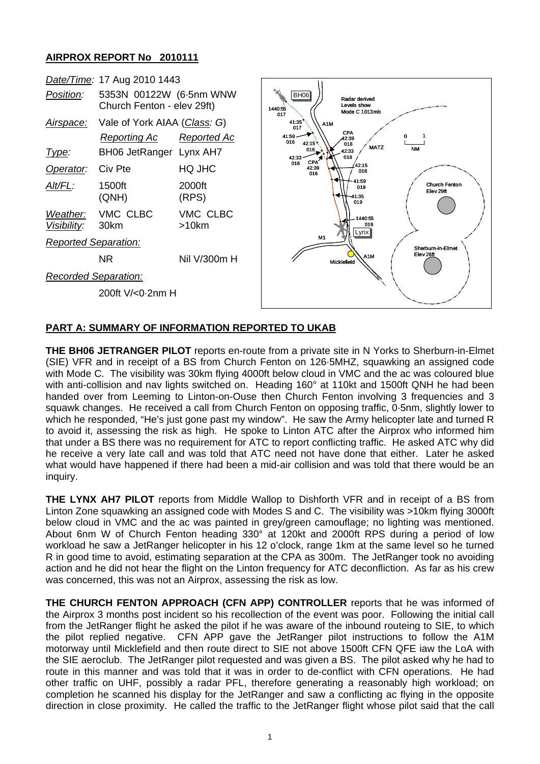## **AIRPROX REPORT No 2010111**

| Date/Time: 17 Aug 2010 1443 |                                                       |                    |                                                                                                                                           |
|-----------------------------|-------------------------------------------------------|--------------------|-------------------------------------------------------------------------------------------------------------------------------------------|
| Position:                   | 5353N 00122W (6.5nm WNW<br>Church Fenton - elev 29ft) |                    | <b>BH06</b><br>Radar derived<br>Levels show<br>1440:55<br>Mode C 1013mb<br>017<br>41:35<br>A <sub>1</sub> M<br>017                        |
| Airspace:                   | Vale of York AIAA (Class: G)                          |                    |                                                                                                                                           |
|                             | Reporting Ac                                          | <b>Reported Ac</b> | <b>CPA</b><br>41:59<br>42:39<br>016<br>42:15<br>018                                                                                       |
| <u>Type:</u>                | BH06 JetRanger Lynx AH7                               |                    | <b>MATZ</b><br><b>NM</b><br>$016_{2}$<br>42:33<br>018<br>42:33                                                                            |
| Operator:                   | Civ Pte                                               | HQ JHC             | <b>CPA</b><br>016<br>42:15<br>42:39<br>018<br>016<br>41:59<br>Church Fenton<br>019<br>Elev 29ft<br>41:35<br>019<br>1440:55<br>019<br>Lynx |
| Alt/FL:                     | 1500ft<br>(QNH)                                       | 2000ft<br>(RPS)    |                                                                                                                                           |
| Weather:<br>Visibility:     | VMC CLBC<br>30km                                      | VMC CLBC<br>>10km  |                                                                                                                                           |
| <b>Reported Separation:</b> |                                                       |                    | <b>M1</b><br>Sherburn-in-Elmet                                                                                                            |
|                             | NR.                                                   | Nil V/300m H       | Elev 26ft<br>A1M<br>Micklefield                                                                                                           |
| <b>Recorded Separation:</b> |                                                       |                    |                                                                                                                                           |
| 200ft V/<0.2nm H            |                                                       |                    |                                                                                                                                           |
|                             |                                                       |                    |                                                                                                                                           |

## **PART A: SUMMARY OF INFORMATION REPORTED TO UKAB**

**THE BH06 JETRANGER PILOT** reports en-route from a private site in N Yorks to Sherburn-in-Elmet (SIE) VFR and in receipt of a BS from Church Fenton on 126·5MHZ, squawking an assigned code with Mode C. The visibility was 30km flying 4000ft below cloud in VMC and the ac was coloured blue with anti-collision and nav lights switched on. Heading 160° at 110kt and 1500ft QNH he had been handed over from Leeming to Linton-on-Ouse then Church Fenton involving 3 frequencies and 3 squawk changes. He received a call from Church Fenton on opposing traffic, 0·5nm, slightly lower to which he responded, "He's just gone past my window". He saw the Army helicopter late and turned R to avoid it, assessing the risk as high. He spoke to Linton ATC after the Airprox who informed him that under a BS there was no requirement for ATC to report conflicting traffic. He asked ATC why did he receive a very late call and was told that ATC need not have done that either. Later he asked what would have happened if there had been a mid-air collision and was told that there would be an inquiry.

**THE LYNX AH7 PILOT** reports from Middle Wallop to Dishforth VFR and in receipt of a BS from Linton Zone squawking an assigned code with Modes S and C. The visibility was >10km flying 3000ft below cloud in VMC and the ac was painted in grey/green camouflage; no lighting was mentioned. About 6nm W of Church Fenton heading 330° at 120kt and 2000ft RPS during a period of low workload he saw a JetRanger helicopter in his 12 o'clock, range 1km at the same level so he turned R in good time to avoid, estimating separation at the CPA as 300m. The JetRanger took no avoiding action and he did not hear the flight on the Linton frequency for ATC deconfliction. As far as his crew was concerned, this was not an Airprox, assessing the risk as low.

**THE CHURCH FENTON APPROACH (CFN APP) CONTROLLER** reports that he was informed of the Airprox 3 months post incident so his recollection of the event was poor. Following the initial call from the JetRanger flight he asked the pilot if he was aware of the inbound routeing to SIE, to which the pilot replied negative. CFN APP gave the JetRanger pilot instructions to follow the A1M motorway until Micklefield and then route direct to SIE not above 1500ft CFN QFE iaw the LoA with the SIE aeroclub. The JetRanger pilot requested and was given a BS. The pilot asked why he had to route in this manner and was told that it was in order to de-conflict with CFN operations. He had other traffic on UHF, possibly a radar PFL, therefore generating a reasonably high workload; on completion he scanned his display for the JetRanger and saw a conflicting ac flying in the opposite direction in close proximity. He called the traffic to the JetRanger flight whose pilot said that the call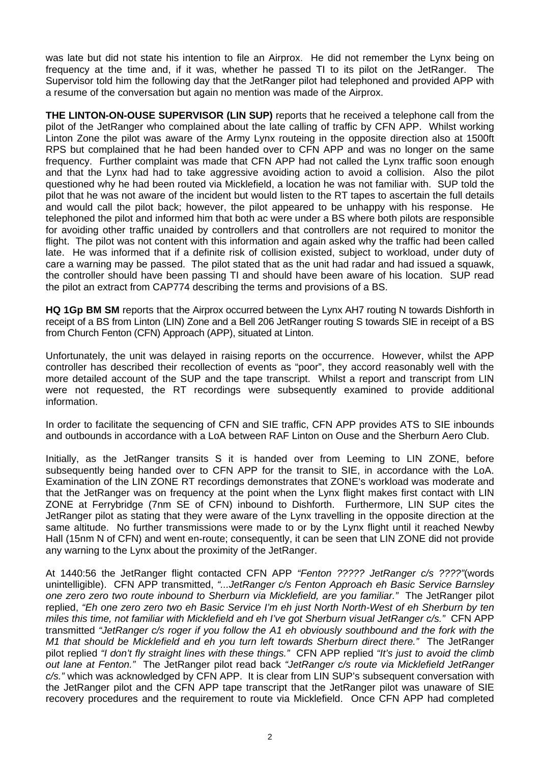was late but did not state his intention to file an Airprox. He did not remember the Lynx being on frequency at the time and, if it was, whether he passed TI to its pilot on the JetRanger. The Supervisor told him the following day that the JetRanger pilot had telephoned and provided APP with a resume of the conversation but again no mention was made of the Airprox.

**THE LINTON-ON-OUSE SUPERVISOR (LIN SUP)** reports that he received a telephone call from the pilot of the JetRanger who complained about the late calling of traffic by CFN APP. Whilst working Linton Zone the pilot was aware of the Army Lynx routeing in the opposite direction also at 1500ft RPS but complained that he had been handed over to CFN APP and was no longer on the same frequency. Further complaint was made that CFN APP had not called the Lynx traffic soon enough and that the Lynx had had to take aggressive avoiding action to avoid a collision. Also the pilot questioned why he had been routed via Micklefield, a location he was not familiar with. SUP told the pilot that he was not aware of the incident but would listen to the RT tapes to ascertain the full details and would call the pilot back; however, the pilot appeared to be unhappy with his response. He telephoned the pilot and informed him that both ac were under a BS where both pilots are responsible for avoiding other traffic unaided by controllers and that controllers are not required to monitor the flight. The pilot was not content with this information and again asked why the traffic had been called late. He was informed that if a definite risk of collision existed, subject to workload, under duty of care a warning may be passed. The pilot stated that as the unit had radar and had issued a squawk, the controller should have been passing TI and should have been aware of his location. SUP read the pilot an extract from CAP774 describing the terms and provisions of a BS.

**HQ 1Gp BM SM** reports that the Airprox occurred between the Lynx AH7 routing N towards Dishforth in receipt of a BS from Linton (LIN) Zone and a Bell 206 JetRanger routing S towards SIE in receipt of a BS from Church Fenton (CFN) Approach (APP), situated at Linton.

Unfortunately, the unit was delayed in raising reports on the occurrence. However, whilst the APP controller has described their recollection of events as "poor", they accord reasonably well with the more detailed account of the SUP and the tape transcript. Whilst a report and transcript from LIN were not requested, the RT recordings were subsequently examined to provide additional information.

In order to facilitate the sequencing of CFN and SIE traffic, CFN APP provides ATS to SIE inbounds and outbounds in accordance with a LoA between RAF Linton on Ouse and the Sherburn Aero Club.

Initially, as the JetRanger transits S it is handed over from Leeming to LIN ZONE, before subsequently being handed over to CFN APP for the transit to SIE, in accordance with the LoA. Examination of the LIN ZONE RT recordings demonstrates that ZONE's workload was moderate and that the JetRanger was on frequency at the point when the Lynx flight makes first contact with LIN ZONE at Ferrybridge (7nm SE of CFN) inbound to Dishforth. Furthermore, LIN SUP cites the JetRanger pilot as stating that they were aware of the Lynx travelling in the opposite direction at the same altitude. No further transmissions were made to or by the Lynx flight until it reached Newby Hall (15nm N of CFN) and went en-route; consequently, it can be seen that LIN ZONE did not provide any warning to the Lynx about the proximity of the JetRanger.

At 1440:56 the JetRanger flight contacted CFN APP *"Fenton ????? JetRanger c/s ????"*(words unintelligible). CFN APP transmitted, *"...JetRanger c/s Fenton Approach eh Basic Service Barnsley one zero zero two route inbound to Sherburn via Micklefield, are you familiar."* The JetRanger pilot replied, *"Eh one zero zero two eh Basic Service I'm eh just North North-West of eh Sherburn by ten miles this time, not familiar with Micklefield and eh I've got Sherburn visual JetRanger c/s."* CFN APP transmitted *"JetRanger c/s roger if you follow the A1 eh obviously southbound and the fork with the M1 that should be Micklefield and eh you turn left towards Sherburn direct there."* The JetRanger pilot replied *"I don't fly straight lines with these things."* CFN APP replied *"It's just to avoid the climb out lane at Fenton."* The JetRanger pilot read back *"JetRanger c/s route via Micklefield JetRanger c/s."* which was acknowledged by CFN APP. It is clear from LIN SUP's subsequent conversation with the JetRanger pilot and the CFN APP tape transcript that the JetRanger pilot was unaware of SIE recovery procedures and the requirement to route via Micklefield. Once CFN APP had completed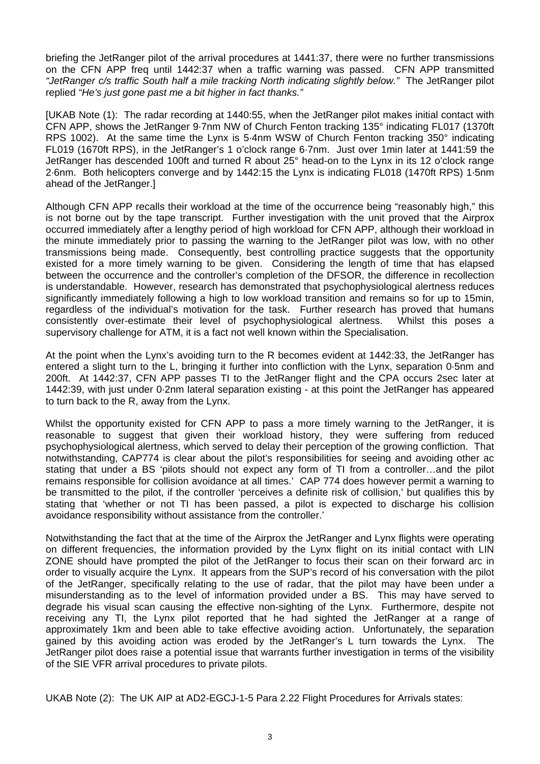briefing the JetRanger pilot of the arrival procedures at 1441:37, there were no further transmissions on the CFN APP freq until 1442:37 when a traffic warning was passed. CFN APP transmitted *"JetRanger c/s traffic South half a mile tracking North indicating slightly below."* The JetRanger pilot replied *"He's just gone past me a bit higher in fact thanks."* 

[UKAB Note (1): The radar recording at 1440:55, when the JetRanger pilot makes initial contact with CFN APP, shows the JetRanger 9·7nm NW of Church Fenton tracking 135° indicating FL017 (1370ft RPS 1002). At the same time the Lynx is 5·4nm WSW of Church Fenton tracking 350° indicating FL019 (1670ft RPS), in the JetRanger's 1 o'clock range 6·7nm. Just over 1min later at 1441:59 the JetRanger has descended 100ft and turned R about 25° head-on to the Lynx in its 12 o'clock range 2·6nm. Both helicopters converge and by 1442:15 the Lynx is indicating FL018 (1470ft RPS) 1·5nm ahead of the JetRanger.]

Although CFN APP recalls their workload at the time of the occurrence being "reasonably high," this is not borne out by the tape transcript. Further investigation with the unit proved that the Airprox occurred immediately after a lengthy period of high workload for CFN APP, although their workload in the minute immediately prior to passing the warning to the JetRanger pilot was low, with no other transmissions being made. Consequently, best controlling practice suggests that the opportunity existed for a more timely warning to be given. Considering the length of time that has elapsed between the occurrence and the controller's completion of the DFSOR, the difference in recollection is understandable. However, research has demonstrated that psychophysiological alertness reduces significantly immediately following a high to low workload transition and remains so for up to 15min, regardless of the individual's motivation for the task. Further research has proved that humans consistently over-estimate their level of psychophysiological alertness. Whilst this poses a supervisory challenge for ATM, it is a fact not well known within the Specialisation.

At the point when the Lynx's avoiding turn to the R becomes evident at 1442:33, the JetRanger has entered a slight turn to the L, bringing it further into confliction with the Lynx, separation 0·5nm and 200ft. At 1442:37, CFN APP passes TI to the JetRanger flight and the CPA occurs 2sec later at 1442:39, with just under 0·2nm lateral separation existing - at this point the JetRanger has appeared to turn back to the R, away from the Lynx.

Whilst the opportunity existed for CFN APP to pass a more timely warning to the JetRanger, it is reasonable to suggest that given their workload history, they were suffering from reduced psychophysiological alertness, which served to delay their perception of the growing confliction. That notwithstanding, CAP774 is clear about the pilot's responsibilities for seeing and avoiding other ac stating that under a BS 'pilots should not expect any form of TI from a controller…and the pilot remains responsible for collision avoidance at all times.' CAP 774 does however permit a warning to be transmitted to the pilot, if the controller 'perceives a definite risk of collision,' but qualifies this by stating that 'whether or not TI has been passed, a pilot is expected to discharge his collision avoidance responsibility without assistance from the controller.'

Notwithstanding the fact that at the time of the Airprox the JetRanger and Lynx flights were operating on different frequencies, the information provided by the Lynx flight on its initial contact with LIN ZONE should have prompted the pilot of the JetRanger to focus their scan on their forward arc in order to visually acquire the Lynx. It appears from the SUP's record of his conversation with the pilot of the JetRanger, specifically relating to the use of radar, that the pilot may have been under a misunderstanding as to the level of information provided under a BS. This may have served to degrade his visual scan causing the effective non-sighting of the Lynx. Furthermore, despite not receiving any TI, the Lynx pilot reported that he had sighted the JetRanger at a range of approximately 1km and been able to take effective avoiding action. Unfortunately, the separation gained by this avoiding action was eroded by the JetRanger's L turn towards the Lynx. The JetRanger pilot does raise a potential issue that warrants further investigation in terms of the visibility of the SIE VFR arrival procedures to private pilots.

UKAB Note (2): The UK AIP at AD2-EGCJ-1-5 Para 2.22 Flight Procedures for Arrivals states: